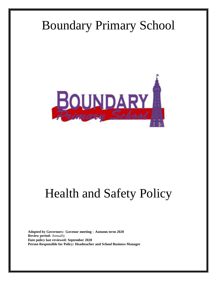# Boundary Primary School



# Health and Safety Policy

**Adopted by Governors: Govenor meeting – Autumn term 2020 Review period:** Annually **Date policy last reviewed: September 2020 Person Responsible for Policy: Headteacher and School Business Manager**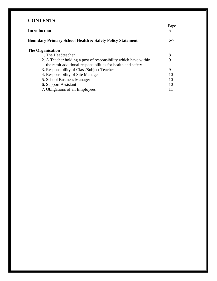# **CONTENTS**

| Introduction                                                        | Page    |
|---------------------------------------------------------------------|---------|
| <b>Boundary Primary School Health &amp; Safety Policy Statement</b> | $6 - 7$ |
| <b>The Organisation</b>                                             |         |
| 1. The Headteacher                                                  | 8       |
| 2. A Teacher holding a post of responsibility which have within     | 9       |
| the remit additional responsibilities for health and safety         |         |
| 3. Responsibility of Class/Subject Teacher                          | 9       |
| 4. Responsibility of Site Manager                                   | 10      |
| 5. School Business Manager                                          | 10      |
| 6. Support Assistant                                                | 10      |
| 7. Obligations of all Employees                                     |         |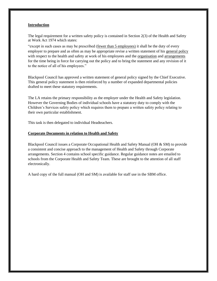#### **Introduction**

The legal requirement for a written safety policy is contained in Section 2(3) of the Health and Safety at Work Act 1974 which states:

"except in such cases as may be prescribed (fewer than 5 employees) it shall be the duty of every employer to prepare and as often as may be appropriate revise a written statement of his general policy with respect to the health and safety at work of his employees and the organisation and arrangements for the time being in force for carrying out the policy and to bring the statement and any revision of it to the notice of all of his employees."

Blackpool Council has approved a written statement of general policy signed by the Chief Executive. This general policy statement is then reinforced by a number of expanded departmental policies drafted to meet these statutory requirements.

The LA retains the primary responsibility as the employer under the Health and Safety legislation. However the Governing Bodies of individual schools have a statutory duty to comply with the Children's Services safety policy which requires them to prepare a written safety policy relating to their own particular establishment.

This task is then delegated to individual Headteachers.

#### **Corporate Documents in relation to Health and Safety**

Blackpool Council issues a Corporate Occupational Health and Safety Manual (OH & SM) to provide a consistent and concise approach to the management of Health and Safety through Corporate arrangements. Section 4 contains school specific guidance. Regular guidance notes are emailed to schools from the Corporate Health and Safety Team. These are brought to the attention of all staff electronically.

A hard copy of the full manual (OH and SM) is available for staff use in the SBM office.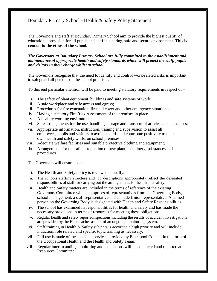# Boundary Primary School - Health & Safety Policy Statement

The Governors and staff at Boundary Primary School aim to provide the highest quality of educational provision for all pupils and staff in a caring, safe and secure environment. **This is central to the ethos of the school.**

*The Governors at Boundary Primary School are fully committed to the establishment and maintenance of appropriate health and safety standards which will protect the staff, pupils and visitors in their charge whilst at school.*

The Governors recognise that the need to identify and control work-related risks is important to safeguard all persons on the school premises.

To this end particular attention will be paid to meeting statutory requirements in respect of –

- i. The safety of plant equipment, buildings and safe systems of work;
- ii. A safe workplace and safe access and egress;
- iii. Procedures for fire evacuation, first aid cover and other emergency situations;
- iv. Having a statutory Fire Risk Assessment of the premises in place
- v. A healthy working environment;
- vi. Safe arrangements for the use, handling, storage and transport of articles and substances;
- vii. Appropriate information, instruction, training and supervision to assist all employees, pupils and visitors to avoid hazards and contribute positively to their own health and safety whilst on school premises;
- viii. Adequate welfare facilities and suitable protective clothing and equipment;
- ix. Arrangements for the safe introduction of new plant, machinery, substances and procedures.

The Governors will ensure that –

- i. The Health and Safety policy is reviewed annually.
- ii. The schools staffing structure and job descriptions appropriately reflect the delegated responsibilities of staff for carrying out the arrangements for health and safety.
- iii. Health and Safety matters are included in the terms of reference of the existing Governors Committee which comprises of representatives from the Governing Body, school management, a staff representative and a Trade Union representative. A named person on the Governing Body is designated with Health and Safety Responsibilities.
- iv. The school has examined its responsibilities for health and safety and has made the necessary provisions in terms of resources for meeting these obligations.
- v. Regular health and safety reports/inspections including the results of accident investigations are provided by the Headteacher as part of an ongoing monitoring system.
- vi. Staff training in Health & Safety subjects is accorded a high priority and will include induction, role related and specific topic training as necessary.
- vii. Full use is made of the specialist services provided by Blackpool Council in the form of the Occupational Health and the Health and Safety Team.
- viii. Regular interim audits, monitoring and inspections will be conducted and reported at Resources Committee.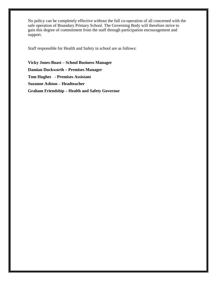No policy can be completely effective without the full co-operation of all concerned with the safe operation of Boundary Primary School. The Governing Body will therefore strive to gain this degree of commitment from the staff through participation encouragement and support.

Staff responsible for Health and Safety in school are as follows:

**Vicky Jones-Boast – School Business Manager Damian Duckworth – Premises Manager Tom Hughes - Premises Assistant Suzanne Ashton – Headteacher Graham Friendship – Health and Safety Governor**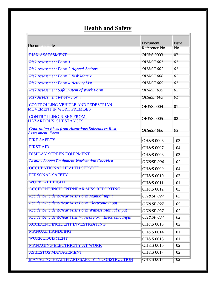# **Health and Safety**

| Document Title                                                                    | Document                    | <b>Issue</b> |
|-----------------------------------------------------------------------------------|-----------------------------|--------------|
|                                                                                   | Reference No                | No           |
| <b>RISK ASSESSMENT</b>                                                            | <b>OH&amp;S 0003</b>        | 02           |
| <b>Risk Assessment Form 1</b>                                                     | OH&SF 001                   | 01           |
| <b>Risk Assessment Form 2 Agreed Actions</b>                                      | <b>OH&amp;SF 002</b>        | 01           |
| <b>Risk Assessment Form 3 Risk Matrix</b>                                         | <b>OH&amp;SF 008</b>        | 02           |
| <b>Risk Assessment Form 4 Activity List</b>                                       | <b>OH&amp;SF 005</b>        | 01           |
| <b>Risk Assessment Safe System of Work Form</b>                                   | <i><b>OH&amp;SF 035</b></i> | 02           |
| <b>Risk Assessment Review Form</b>                                                | <i><b>OH&amp;SF 003</b></i> | 01           |
| <b>CONTROLLING VEHICLE AND PEDESTRIAN</b><br><b>MOVEMENT IN WORK PREMISES</b>     | <b>OH&amp;S 0004</b>        | 01           |
| <b>CONTROLLING RISKS FROM</b><br>HAZARDOUS SUBSTANCES                             | <b>OH&amp;S 0005</b>        | 02           |
| <b>Controlling Risks from Hazardous Substances Risk</b><br><b>Assessment Form</b> | <b>OH&amp;SF 006</b>        | 03           |
| <b>FIRE SAFETY</b>                                                                | <b>OH&amp;S 0006</b>        | 03           |
| <b>FIRST AID</b>                                                                  | <b>OH&amp;S 0007</b>        | 04           |
| <b>DISPLAY SCREEN EQUIPMENT</b>                                                   | <b>OH&amp;S 0008</b>        | 03           |
| <b>Display Screen Equipment Workstation Checklist</b>                             | <b>OH&amp;SF 004</b>        | 02           |
| OCCUPATIONAL HEALTH SERVICE                                                       | <b>OH&amp;S 0009</b>        | 04           |
| PERSONAL SAFETY                                                                   | <b>OH&amp;S 0010</b>        | 03           |
| <b>WORK AT HEIGHT</b>                                                             | <b>OH&amp;S 0011</b>        | 01           |
| <b>ACCIDENT/INCIDENT/NEAR MISS REPORTING</b>                                      | <b>OH&amp;S 0012</b>        | 03           |
| <b>Accident/Incident/Near Miss Form Manual Input</b>                              | OH&SF 027                   | 05           |
| <b>Accident/Incident/Near Miss Form Electronic Input</b>                          | <b>OH&amp;SF 027</b>        | 05           |
| <b>Accident/Incident/Near Miss Form Witness Manual Input</b>                      | OH&SF 037                   | 02           |
| <b>Accident/Incident/Near Miss Witness Form Electronic Input</b>                  | <b>OH&amp;SF 037</b>        | 02           |
| <b>ACCIDENT/INCIDENT INVESTIGATING</b>                                            | <b>OH&amp;S 0013</b>        | 02           |
| <b>MANUAL HANDLING</b>                                                            | <b>OH&amp;S 0014</b>        | 01           |
| <b>WORK EQUIPMENT</b>                                                             | <b>OH&amp;S 0015</b>        | 01           |
| <b>MANAGING ELECTRICITY AT WORK</b>                                               | <b>OH&amp;S 0016</b>        | 02           |
| <b>ASBESTOS MANAGEMENT</b>                                                        | <b>OH&amp;S 0017</b>        | 02           |
| MANAGING HEALTH AND SAFETY IN CONSTRUCTION                                        | <b>OH&amp;S 0018</b>        | 02           |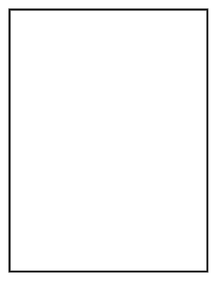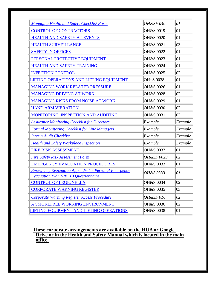| <b>Managing Health and Safety Checklist Form</b>            | <b>OH&amp;SF 040</b> | 01      |
|-------------------------------------------------------------|----------------------|---------|
| <b>CONTROL OF CONTRACTORS</b>                               | <b>OH&amp;S 0019</b> | 01      |
| <b>HEALTH AND SAFETY AT EVENTS</b>                          | <b>OH&amp;S 0020</b> | 01      |
| <b>HEALTH SURVEILLANCE</b>                                  | <b>OH&amp;S 0021</b> | 03      |
| <b>SAFETY IN OFFICES</b>                                    | <b>OH&amp;S 0022</b> | 01      |
| PERSONAL PROTECTIVE EQUIPMENT                               | OH&S 0023            | 01      |
| <b>HEALTH AND SAFETY TRAINING</b>                           | <b>OH&amp;S 0024</b> | 01      |
| <b>INFECTION CONTROL</b>                                    | <b>OH&amp;S 0025</b> | 02      |
| LIFTING OPERATIONS AND LIFTING EQUIPMENT                    | OH+S 0038            | 01      |
| <b>MANAGING WORK RELATED PRESSURE</b>                       | <b>OH&amp;S 0026</b> | 01      |
| <b>MANAGING DRIVING AT WORK</b>                             | <b>OH&amp;S 0028</b> | 02      |
| <b>MANAGING RISKS FROM NOISE AT WORK</b>                    | <b>OH&amp;S 0029</b> | 01      |
| <b>HAND ARM VIBRATION</b>                                   | <b>OH&amp;S 0030</b> | 02      |
| MONITORING, INSPECTION AND AUDITING                         | <b>OH&amp;S 0031</b> | 02      |
| <b>Assurance Monitoring Checklist for Directors</b>         | Example              | Example |
| <b>Formal Monitoring Checklist for Line Managers</b>        | Example              | Example |
| <b>Interin Audit Checklist</b>                              | Example              | Example |
| <b>Health and Safety Workplace Inspection</b>               | Example              | Example |
| <b>FIRE RISK ASSESSMENT</b>                                 | <b>OH&amp;S 0032</b> | 01      |
| <b>Fire Safety Risk Assessment Form</b>                     | OH&SF 0029           | 02      |
| <b>EMERGENCY EVACUATION PROCEDURES</b>                      | <b>OH&amp;S 0033</b> | 01      |
| <b>Emergency Evacuation Appendix 1 - Personal Emergency</b> | OH&S 0333            | 01      |
| <b>Evacuation Plan (PEEP) Questionnaire</b>                 |                      |         |
| <b>CONTROL OF LEGIONELLA</b>                                | <b>OH&amp;S 0034</b> | 02      |
| <b>CORPORATE WARNING REGISTER</b>                           | <b>OH&amp;S 0035</b> | 03      |
| <b>Corporate Warning Register Access Procedure</b>          | <b>OH&amp;SF 010</b> | 02      |
| A SMOKEFREE WORKING ENVIRONMENT                             | <b>OH&amp;S 0036</b> | 02      |
| LIFTING EQUIPMENT AND LIFTING OPERATIONS                    | <b>OH&amp;S 0038</b> | 01      |

**These corporate arrangements are available on the HUB or Google Drive or in the Health and Safety Manual which is located in the main office.**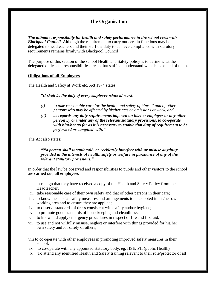# **The Organisation**

*The ultimate responsibility for health and safety performance in the school rests with Blackpool Council.* Although the requirement to carry out certain functions may be delegated to headteachers and their staff the duty to achieve compliance with statutory requirements remains firmly with Blackpool Council

The purpose of this section of the school Health and Safety policy is to define what the delegated duties and responsibilities are so that staff can understand what is expected of them.

#### **Obligations of all Employees**

The Health and Safety at Work etc. Act 1974 states:

#### *"It shall be the duty of every employee while at work:*

- *(i) to take reasonable care for the health and safety of himself and of other persons who may be affected by his/her acts or omissions at work, and*
- *(ii) as regards any duty requirements imposed on his/her employer or any other person by or under any of the relevant statutory provisions, to co-operate with him/her so far as it is necessary to enable that duty of requirement to be performed or complied with."*

The Act also states:

#### *"No person shall intentionally or recklessly interfere with or misuse anything provided in the interests of health, safety or welfare in pursuance of any of the relevant statutory provisions."*

In order that the law be observed and responsibilities to pupils and other visitors to the school are carried out, **all employees**

- i. must sign that they have received a copy of the Health and Safety Policy from the Headteacher;
- ii. take reasonable care of their own safety and that of other persons in their care;
- iii. to know the special safety measures and arrangements to be adopted in his/her own working area and to ensure they are applied;
- iv. to observe standards of dress consistent with safety and/or hygiene;
- v. to promote good standards of housekeeping and cleanliness;
- vi. to know and apply emergency procedures in respect of fire and first aid;
- vii. to use and not wilfully misuse, neglect or interfere with things provided for his/her own safety and /or safety of others;
- viii to co-operate with other employees in promoting improved safety measures in their school;
- ix. to co-operate with any appointed statutory body, eg. HSE, PH (public Health)
- x. To attend any identified Health and Safety training relevant to their role/protector of all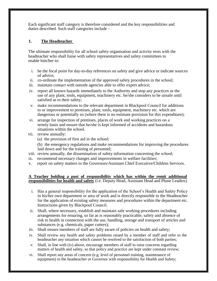Each significant staff category is therefore considered and the key responsibilities and duties described. Such staff categories include –

#### **1. The Headteacher**

The ultimate responsibility for all school safety organisation and activity rests with the headteacher who shall liaise with safety representatives and safety committees to enable him/her to:

- i. be the focal point for day-to-day references on safety and give advice or indicate sources of advice;
- ii. co-ordinate the implementation of the approved safety procedures in the school;
- iii. maintain contact with outside agencies able to offer expert advice;
- iv. report all known hazards immediately to the Authority and stop any practices or the use of any plant, tools, equipment, machinery etc. he/she considers to be unsafe until satisfied as to their safety;
- v. make recommendations to the relevant department in Blackpool Council for additions to or improvement to premises, plant, tools, equipment, machinery etc. which are dangerous or potentially so (where there is no estimate provision for this expenditure);
- vi. arrange for inspection of premises, places of work and working practices on a termly basis and ensure that he/she is kept informed of accidents and hazardous situations within the school.
- vii. review annually:
	- (a) the provision of first aid in the school;

(b) the emergency regulations and make recommendations for improving the procedures laid down and for the training of personnel;

- viii. review annually, the dissemination of safety information concerning the school;
- ix. recommend necessary changes and improvements in welfare facilities;
- x. report on safety matters to the Governors/Assistant Chief Executive/Children Services.

#### **A Teacher holding a post of responsibility which has within the remit additional responsibilities for health and safety** (i.e. Deputy Head, Assistant Head and Phase Leaders)

- i. Has a general responsibility for the application of the School's Health and Safety Policy in his/her own department or area of work and is directly responsible to the Headteacher for the application of existing safety measures and procedures within the department etc. Instructions given by Blackpool Council.
- ii. Shall, where necessary, establish and maintain safe working procedures including arrangements for ensuring, so far as is reasonably practicable, safety and absence of risk to health in connection with the use, handling, storage and transport of articles and substances (e.g. chemicals, paper cutters);
- iii. Shall ensure members of staff are fully aware of policies on health and safety;
- iv. Shall review any health and safety problems raised by a member of staff and refer to the headteacher any situation which cannot be resolved to the satisfaction of both parties;
- v. Shall, in line with (iv) above, encourage members of staff to raise concerns regarding matters of health and safety, so that policy and practice are kept under constant review;
- vi. Shall report any areas of concern (e.g. level of personnel training, maintenance of equipment) to the headteacher or Governor with responsibility for Health and Safety;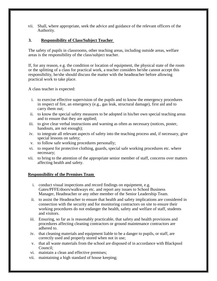vii. Shall, where appropriate, seek the advice and guidance of the relevant officers of the Authority.

#### **3. Responsibility of Class/Subject Teacher**

The safety of pupils in classrooms, other teaching areas, including outside areas, welfare areas is the responsibility of the class/subject teacher.

If, for any reason, e.g. the condition or location of equipment, the physical state of the room or the splitting of a class for practical work, a teacher considers he/she cannot accept this responsibility, he/she should discuss the matter with the headteacher before allowing practical work to take place.

A class teacher is expected:

- i. to exercise effective supervision of the pupils and to know the emergency procedures in respect of fire, an emergency (e.g., gas leak, structural damage), first aid and to carry them out;
- ii. to know the special safety measures to be adopted in his/her own special teaching areas and to ensure that they are applied;
- iii. to give clear verbal instructions and warning as often as necessary (notices, poster, handouts, are not enough);
- iv. to integrate all relevant aspects of safety into the teaching process and, if necessary, give special lessons on safety;
- v. to follow safe working procedures personally;
- vi. to request for protective clothing, guards, special safe working procedures etc. where necessary;
- vii. to bring to the attention of the appropriate senior member of staff, concerns over matters affecting health and safety.

#### **Responsibility of the Premises Team**

- i. conduct visual inspections and record findings on equipment, e.g. Gates/PFFE/doors/walkways etc. and report any issues to School Business Manager, Headteacher or any other member of the Senior Leadership Team.
- ii. to assist the Headteacher to ensure that health and safety implications are considered in connection with the security and for monitoring contractors on site to ensure their working procedures do not endanger the health, safety and welfare of staff, students and visitors.
- iii. Ensuring, so far as is reasonably practicable, that safety and health provisions and procedures affecting cleaning contractors or ground maintenance contractors are adhered to.
- iv. that cleaning materials and equipment liable to be a danger to pupils, or staff, are correctly used and properly stored when not in use;
- v. that all waste materials from the school are disposed of in accordance with Blackpool Council;
- vi. maintain a clean and effective premises;
- vii. maintaining a high standard of house keeping;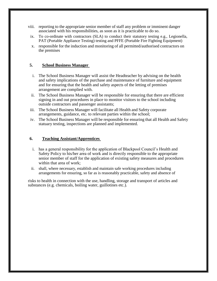- viii. reporting to the appropriate senior member of staff any problem or imminent danger associated with his responsibilities, as soon as it is practicable to do so.
- ix. To co-ordinate with contractors (SLA) to conduct their statutory testing e.g., Legionella, PAT (Portable Appliance Testing) testing and PFFE (Portable Fire Fighting Equipment)
- x. responsible for the induction and monitoring of all permitted/authorised contractors on the premises

#### **5. School Business Manager**

- i. The School Business Manager will assist the Headteacher by advising on the health and safety implications of the purchase and maintenance of furniture and equipment and for ensuring that the health and safety aspects of the letting of premises arrangement are complied with.
- ii. The School Business Manager will be responsible for ensuring that there are efficient signing in and out procedures in place to monitor visitors to the school including outside contractors and passenger assistants;
- iii. The School Business Manager will facilitate all Health and Safety corporate arrangements, guidance, etc. to relevant parties within the school;
- iv. The School Business Manager will be responsible for ensuring that all Health and Safety statuary testing, inspections are planned and implemented.

#### **6. Teaching Assistant/Apprentices**

- i. has a general responsibility for the application of Blackpool Council's Health and Safety Policy to his/her area of work and is directly responsible to the appropriate senior member of staff for the application of existing safety measures and procedures within that area of work;
- ii. shall, where necessary, establish and maintain safe working procedures including arrangements for ensuring, so far as is reasonably practicable, safety and absence of

risks to health in connection with the use, handling, storage and transport of articles and substances (e.g. chemicals, boiling water, guillotines etc.).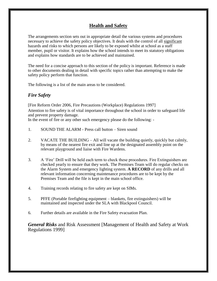# **Health and Safety**

The arrangements section sets out in appropriate detail the various systems and procedures necessary to achieve the safety policy objectives. It deals with the control of all significant hazards and risks to which persons are likely to be exposed whilst at school as a staff member, pupil or visitor. It explains how the school intends to meet its statutory obligations and explains how standards are to be achieved and maintained.

The need for a concise approach to this section of the policy is important. Reference is made to other documents dealing in detail with specific topics rather than attempting to make the safety policy perform that function.

The following is a list of the main areas to be considered.

### *Fire Safety*

[Fire Reform Order 2006, Fire Precautions (Workplace) Regulations 1997]

Attention to fire safety is of vital importance throughout the school in order to safeguard life and prevent property damage.

In the event of fire or any other such emergency please do the following: -

- 1. SOUND THE ALARM Press call button Siren sound
- 2. VACATE THE BUILDING All will vacate the building quietly, quickly but calmly, by means of the nearest fire exit and line up at the designated assembly point on the relevant playground and liaise with Fire Wardens.
- 3. A 'Fire' Drill will be held each term to check these procedures. Fire Extinguishers are checked yearly to ensure that they work. The Premises Team will do regular checks on the Alarm System and emergency lighting system. **A RECORD** of any drills and all relevant information concerning maintenance procedures are to be kept by the Premises Team and the file is kept in the main school office.
- 4. Training records relating to fire safety are kept on SIMs.
- 5. PFFE (Portable firefighting equipment blankets, fire extinguishers) will be maintained and inspected under the SLA with Blackpool Council.
- 6. Further details are available in the Fire Safety evacuation Plan.

*General Risks* and Risk Assessment [Management of Health and Safety at Work Regulations 1999]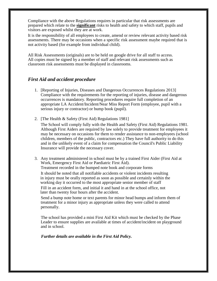Compliance with the above Regulations requires in particular that risk assessments are prepared which relate to the **significant** risks to health and safety to which staff, pupils and visitors are exposed whilst they are at work.

It is the responsibility of all employees to create, amend or review relevant activity based risk assessments. There may be occasions when a specific risk assessment maybe required that is not activity based (for example from individual child).

All Risk Assessments (originals) are to be held on google drive for all staff to access. All copies must be signed by a member of staff and relevant risk assessments such as classroom risk assessments must be displayed in classrooms.

### *First Aid and accident procedure*

- 1. [Reporting of Injuries, Diseases and Dangerous Occurrences Regulations 2013] Compliance with the requirements for the reporting of injuries, disease and dangerous occurrences is mandatory. Reporting procedures require full completion of an appropriate LA Accident/Incident/Near Miss Report Form (employee, pupil with a serious injury or contractor) or bump book (pupil).
- 2. [The Health & Safety (First Aid) Regulations 1981]

The School will comply fully with the Health and Safety (First Aid) Regulations 1981. Although First Aiders are required by law solely to provide treatment for employees it may be necessary on occasions for them to render assistance to non-employees (school children, members of the public, contractors etc.) They have full authority to do this and in the unlikely event of a claim for compensation the Council's Public Liability Insurance will provide the necessary cover.

3. Any treatment administered in school must be by a trained First Aider (First Aid at Work, Emergency First Aid or Paediatric First Aid). Treatment recorded in the bumped note book and corporate forms

It should be noted that all notifiable accidents or violent incidents resulting in injury must be orally reported as soon as possible and certainly within the working day it occurred to the most appropriate senior member of staff Fill in an accident form, and initial it and hand in at the school office, not later than twenty four hours after the accident.

Send a bump note home or text parents for minor head bumps and inform them of treatment for a minor injury as appropriate unless they were called to attend personally.

The school has provided a mini First Aid Kit which must be checked by the Phase Leader to ensure supplies are available at times of accident/incident on playground and in school.

*Further details are available in the First Aid Policy.*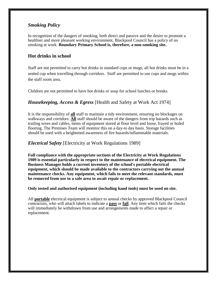# *Smoking Policy*

In recognition of the dangers of smoking, both direct and passive and the desire to promote a healthier and more pleasant working environment, Blackpool Council has a policy of no smoking at work. **Boundary Primary School is, therefore, a non-smoking site.**

# **Hot drinks in school**

Staff are not permitted to carry hot drinks in standard cups or mugs, all hot drinks must be in a sealed cup when travelling through corridors. Staff are permitted to use cups and mugs within the staff room area.

Children are not permitted to have hot drinks or soup for school lunches or breaks.

# *Housekeeping, Access & Egress* [Health and Safety at Work Act 1974]

It is the responsibility of **all** staff to maintain a tidy environment, ensuring no blockages on walkways and corridors. **All** staff should be aware of the dangers from trip hazards such as trailing wires and cables, items of equipment stored at floor level and loose, frayed or holed flooring. The Premises Team will monitor this on a day-to day basis. Storage facilities should be used with a heightened awareness of fire hazards/inflammable materials.

# *Electrical Safety* [Electricity at Work Regulations 1989]

**Full compliance with the appropriate sections of the Electricity at Work Regulations 1989 is essential particularly in respect to the maintenance of electrical equipment. The Business Manager holds a current inventory of the school's portable electrical equipment, which should be made available to the contractors carrying out the annual maintenance checks. Any equipment, which fails to meet the relevant standards, must be removed from use to a safe area to await repair or replacement.**

#### **Only tested and authorised equipment (including hand tools) must be used on site.**

All **portable** electrical equipment is subject to annual checks by approved Blackpool Council contractors, who will attach labels to indicate a **pass** or **fail**. Any item which fails the checks will immediately be withdrawn from use and arrangements made to affect a repair or replacement.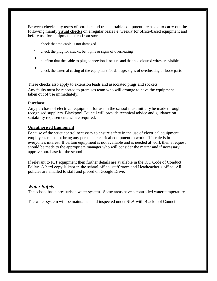Between checks any users of portable and transportable equipment are asked to carry out the following mainly **visual checks** on a regular basis i.e. weekly for office-based equipment and before use for equipment taken from store:-

- $\bullet$ check that the cable is not damaged
- $\bullet$ check the plug for cracks, bent pins or signs of overheating
- $\bullet$ confirm that the cable to plug connection is secure and that no coloured wires are visible
- $\bullet$ check the external casing of the equipment for damage, signs of overheating or loose parts

These checks also apply to extension leads and associated plugs and sockets.

Any faults must be reported to premises team who will arrange to have the equipment taken out of use immediately.

#### **Purchase**

Any purchase of electrical equipment for use in the school must initially be made through recognised suppliers. Blackpool Council will provide technical advice and guidance on suitability requirements where required.

#### **Unauthorised Equipment**

Because of the strict control necessary to ensure safety in the use of electrical equipment employees must not bring any personal electrical equipment to work. This rule is in everyone's interest. If certain equipment is not available and is needed at work then a request should be made to the appropriate manager who will consider the matter and if necessary approve purchase for the school.

If relevant to ICT equipment then further details are available in the ICT Code of Conduct Policy. A hard copy is kept in the school office, staff room and Headteacher's office. All policies are emailed to staff and placed on Google Drive.

#### *Water Safety*

The school has a pressurised water system. Some areas have a controlled water temperature.

The water system will be maintained and inspected under SLA with Blackpool Council.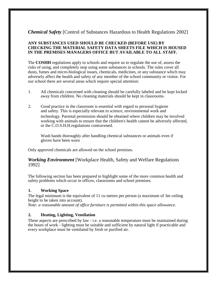# *Chemical Safety* [Control of Substances Hazardous to Health Regulations 2002]

#### **ANY SUBSTANCES USED SHOULD BE CHECKED (BEFORE USE) BY CHECKING THE MATERIAL SAFETY DATA SHEETS FILE WHICH IS HOUSED IN THE PREMISES MANAGERS OFFICE BUT AVAILABLE TO ALL STAFF.**

The **COSHH** regulations apply to schools and require us to regulate the use of, assess the risks of using, and completely stop using some substances in schools. The rules cover all dusts, fumes and micro-biological issues, chemicals, medicines, or any substance which may adversely affect the health and safety of any member of the school community or visitor. For our school there are several areas which require special attention:

- 1. All chemicals concerned with cleaning should be carefully labeled and be kept locked away from children. No cleaning materials should be kept in classrooms.
- 2. Good practice in the classroom is essential with regard to personal hygiene and safety. This is especially relevant to science, environmental work and technology. Parental permission should be obtained where children may be involved working with animals to ensure that the children's health cannot be adversely affected, or the C.O.S.H.H.regulations contravened.

Wash hands thoroughly after handling chemical substances or animals even if gloves have been worn

Only approved chemicals are allowed on the school premises.

### *Working Environment* [Workplace Health, Safety and Welfare Regulations 1992]

The following section has been prepared to highlight some of the more common health and safety problems which occur in offices, classrooms and school premises.

#### **1. Working Space**

The legal minimum is the equivalent of 11 cu metres per person (a maximum of 3m ceiling height to be taken into account).

*Note: a reasonable amount of office furniture is permitted within this space allowance.*

#### **2. Heating, Lighting, Ventilation**

These aspects are prescribed by law - i.e. a reasonable temperature must be maintained during the hours of work - lighting must be suitable and sufficient by natural light if practicable and every workplace must be ventilated by fresh or purified air.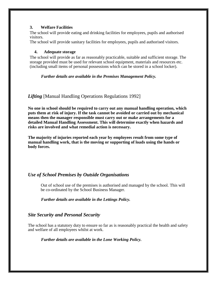#### **3. Welfare Facilities**

The school will provide eating and drinking facilities for employees, pupils and authorised visitors.

The school will provide sanitary facilities for employees, pupils and authorised visitors.

#### **4. Adequate storage**

The school will provide as far as reasonably practicable, suitable and sufficient storage. The storage provided must be used for relevant school equipment, materials and resources etc. (including small items of personal possessions which can be stored in a school locker).

#### *Further details are available in the Premises Management Policy.*

### *Lifting* [Manual Handling Operations Regulations 1992]

**No one in school should be required to carry out any manual handling operation, which puts them at risk of injury. If the task cannot be avoided or carried out by mechanical means then the manager responsible must carry out or make arrangements for a detailed Manual Handling Assessment. This will determine exactly when hazards and risks are involved and what remedial action is necessary.**

**The majority of injuries reported each year by employees result from some type of manual handling work, that is the moving or supporting of loads using the hands or body forces.**

### *Use of School Premises by Outside Organisations*

Out of school use of the premises is authorised and managed by the school. This will be co-ordinated by the School Business Manager.

*Further details are available in the Lettings Policy.*

#### *Site Security and Personal Security*

The school has a statutory duty to ensure so far as is reasonably practical the health and safety and welfare of all employees whilst at work.

*Further details are available in the Lone Working Policy.*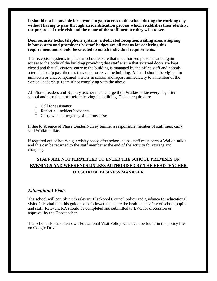**It should not be possible for anyone to gain access to the school during the working day without having to pass through an identification process which establishes their identity, the purpose of their visit and the name of the staff member they wish to see.**

**Door security locks, telephone systems, a dedicated reception/waiting area, a signing in/out system and prominent 'visitor' badges are all means for achieving this requirement and should be selected to match individual requirements.**

The reception systems in place at school ensure that unauthorised persons cannot gain access to the body of the building providing that staff ensure that external doors are kept closed and that all visitors' entry to the building is managed by the office staff and nobody attempts to slip past them as they enter or leave the building. All staff should be vigilant to unknown or unaccompanied visitors in school and report immediately to a member of the Senior Leadership Team if not complying with the above.

All Phase Leaders and Nursery teacher must charge their Walkie-talkie every day after school and turn them off before leaving the building. This is required to:

- $\Box$  Call for assistance
- $\Box$  Report all incident/accidents
- $\Box$  Carry when emergency situations arise

If due to absence of Phase Leader/Nursey teacher a responsible member of staff must carry said Walkie-talkie.

If required out of hours e.g. activity based after school clubs, staff must carry a Walkie-talkie and this can be returned to the staff member at the end of the activity for storage and charging.

# **STAFF ARE NOT PERMITTED TO ENTER THE SCHOOL PREMISES ON EVENINGS AND WEEKENDS UNLESS AUTHORISED BY THE HEADTEACHER OR SCHOOL BUSINESS MANAGER**

#### *Educational Visits*

The school will comply with relevant Blackpool Council policy and guidance for educational visits. It is vital that this guidance is followed to ensure the health and safety of school pupils and staff. Relevant RA should be completed and submitted to EVC for discussion or approval by the Headteacher.

The school also has their own Educational Visit Policy which can be found in the policy file on Google Drive.